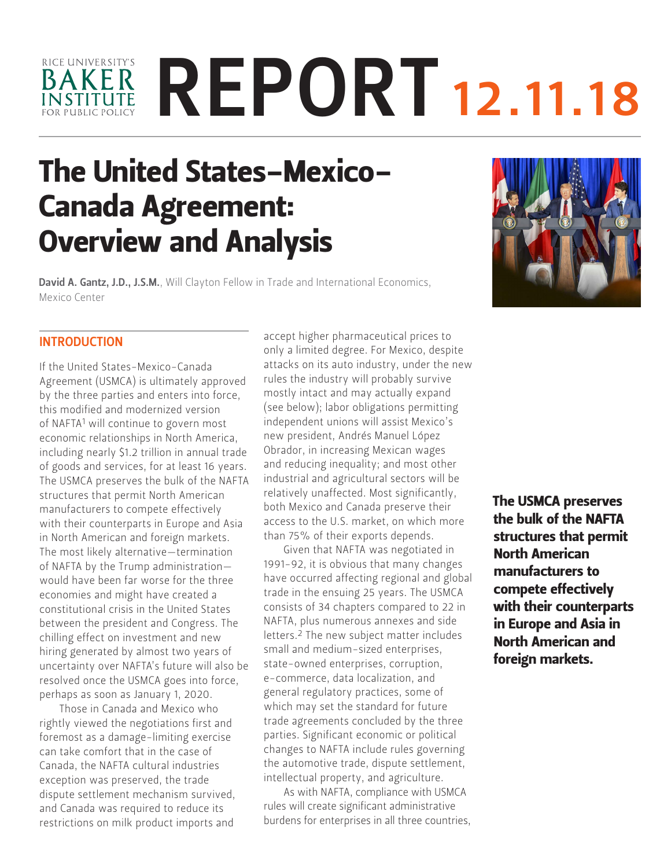# RICE UNIVERSITY'S REPORT 12.11.18 BAKER **INSTITUTE**

# The United States-Mexico-Canada Agreement: Overview and Analysis

David A. Gantz, J.D., J.S.M., Will Clayton Fellow in Trade and International Economics, [Mexico Center](https://www.bakerinstitute.org/experts/david-a-gantz/)

# INTRODUCTION

If the United States-Mexico-Canada Agreement (USMCA) is ultimately approved by the three parties and enters into force, this modified and modernized version of NAFTA1 will continue to govern most economic relationships in North America, including nearly \$1.2 trillion in annual trade of goods and services, for at least 16 years. The USMCA preserves the bulk of the NAFTA structures that permit North American manufacturers to compete effectively with their counterparts in Europe and Asia in North American and foreign markets. The most likely alternative—termination of NAFTA by the Trump administration would have been far worse for the three economies and might have created a constitutional crisis in the United States between the president and Congress. The chilling effect on investment and new hiring generated by almost two years of uncertainty over NAFTA's future will also be resolved once the USMCA goes into force, perhaps as soon as January 1, 2020.

Those in Canada and Mexico who rightly viewed the negotiations first and foremost as a damage-limiting exercise can take comfort that in the case of Canada, the NAFTA cultural industries exception was preserved, the trade dispute settlement mechanism survived, and Canada was required to reduce its restrictions on milk product imports and

accept higher pharmaceutical prices to only a limited degree. For Mexico, despite attacks on its auto industry, under the new rules the industry will probably survive mostly intact and may actually expand (see below); labor obligations permitting independent unions will assist Mexico's new president, Andrés Manuel López Obrador, in increasing Mexican wages and reducing inequality; and most other industrial and agricultural sectors will be relatively unaffected. Most significantly, both Mexico and Canada preserve their access to the U.S. market, on which more than 75% of their exports depends.

Given that NAFTA was negotiated in 1991-92, it is obvious that many changes have occurred affecting regional and global trade in the ensuing 25 years. The USMCA consists of 34 chapters compared to 22 in NAFTA, plus numerous annexes and side letters.2 The new subject matter includes small and medium-sized enterprises, state-owned enterprises, corruption, e-commerce, data localization, and general regulatory practices, some of which may set the standard for future trade agreements concluded by the three parties. Significant economic or political changes to NAFTA include rules governing the automotive trade, dispute settlement, intellectual property, and agriculture.

As with NAFTA, compliance with USMCA rules will create significant administrative burdens for enterprises in all three countries, The USMCA preserves the bulk of the NAFTA structures that permit North American manufacturers to compete effectively with their counterparts in Europe and Asia in North American and foreign markets.

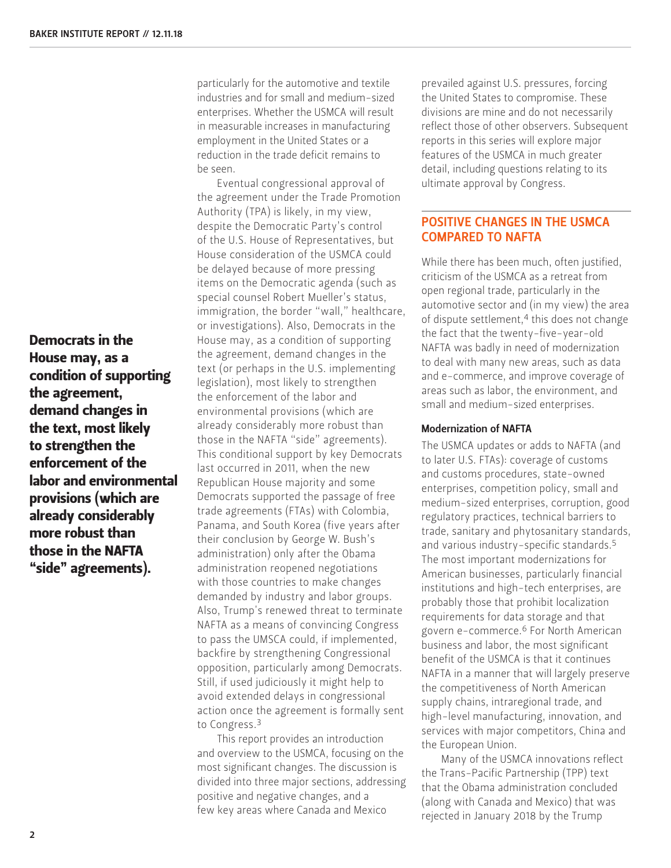Democrats in the House may, as a condition of supporting the agreement, demand changes in the text, most likely to strengthen the enforcement of the labor and environmental provisions (which are already considerably more robust than those in the NAFTA "side" agreements).

particularly for the automotive and textile industries and for small and medium-sized enterprises. Whether the USMCA will result in measurable increases in manufacturing employment in the United States or a reduction in the trade deficit remains to be seen.

Eventual congressional approval of the agreement under the Trade Promotion Authority (TPA) is likely, in my view, despite the Democratic Party's control of the U.S. House of Representatives, but House consideration of the USMCA could be delayed because of more pressing items on the Democratic agenda (such as special counsel Robert Mueller's status, immigration, the border "wall," healthcare, or investigations). Also, Democrats in the House may, as a condition of supporting the agreement, demand changes in the text (or perhaps in the U.S. implementing legislation), most likely to strengthen the enforcement of the labor and environmental provisions (which are already considerably more robust than those in the NAFTA "side" agreements). This conditional support by key Democrats last occurred in 2011, when the new Republican House majority and some Democrats supported the passage of free trade agreements (FTAs) with Colombia, Panama, and South Korea (five years after their conclusion by George W. Bush's administration) only after the Obama administration reopened negotiations with those countries to make changes demanded by industry and labor groups. Also, Trump's renewed threat to terminate NAFTA as a means of convincing Congress to pass the UMSCA could, if implemented, backfire by strengthening Congressional opposition, particularly among Democrats. Still, if used judiciously it might help to avoid extended delays in congressional action once the agreement is formally sent to Congress.3

This report provides an introduction and overview to the USMCA, focusing on the most significant changes. The discussion is divided into three major sections, addressing positive and negative changes, and a few key areas where Canada and Mexico

prevailed against U.S. pressures, forcing the United States to compromise. These divisions are mine and do not necessarily reflect those of other observers. Subsequent reports in this series will explore major features of the USMCA in much greater detail, including questions relating to its ultimate approval by Congress.

# POSITIVE CHANGES IN THE USMCA COMPARED TO NAFTA

While there has been much, often justified, criticism of the USMCA as a retreat from open regional trade, particularly in the automotive sector and (in my view) the area of dispute settlement,<sup>4</sup> this does not change the fact that the twenty-five-year-old NAFTA was badly in need of modernization to deal with many new areas, such as data and e-commerce, and improve coverage of areas such as labor, the environment, and small and medium-sized enterprises.

#### Modernization of NAFTA

The USMCA updates or adds to NAFTA (and to later U.S. FTAs): coverage of customs and customs procedures, state-owned enterprises, competition policy, small and medium-sized enterprises, corruption, good regulatory practices, technical barriers to trade, sanitary and phytosanitary standards, and various industry-specific standards.<sup>5</sup> The most important modernizations for American businesses, particularly financial institutions and high-tech enterprises, are probably those that prohibit localization requirements for data storage and that govern e-commerce.6 For North American business and labor, the most significant benefit of the USMCA is that it continues NAFTA in a manner that will largely preserve the competitiveness of North American supply chains, intraregional trade, and high-level manufacturing, innovation, and services with major competitors, China and the European Union.

Many of the USMCA innovations reflect the Trans-Pacific Partnership (TPP) text that the Obama administration concluded (along with Canada and Mexico) that was rejected in January 2018 by the Trump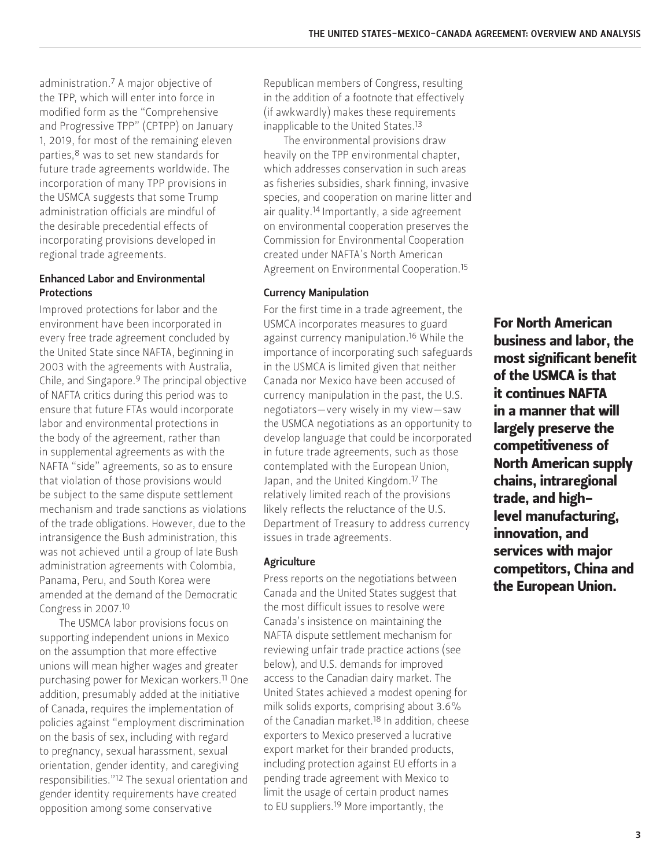administration.7 A major objective of the TPP, which will enter into force in modified form as the "Comprehensive and Progressive TPP" (CPTPP) on January 1, 2019, for most of the remaining eleven parties,<sup>8</sup> was to set new standards for future trade agreements worldwide. The incorporation of many TPP provisions in the USMCA suggests that some Trump administration officials are mindful of the desirable precedential effects of incorporating provisions developed in regional trade agreements.

## Enhanced Labor and Environmental **Protections**

Improved protections for labor and the environment have been incorporated in every free trade agreement concluded by the United State since NAFTA, beginning in 2003 with the agreements with Australia, Chile, and Singapore.9 The principal objective of NAFTA critics during this period was to ensure that future FTAs would incorporate labor and environmental protections in the body of the agreement, rather than in supplemental agreements as with the NAFTA "side" agreements, so as to ensure that violation of those provisions would be subject to the same dispute settlement mechanism and trade sanctions as violations of the trade obligations. However, due to the intransigence the Bush administration, this was not achieved until a group of late Bush administration agreements with Colombia, Panama, Peru, and South Korea were amended at the demand of the Democratic Congress in 2007.10

The USMCA labor provisions focus on supporting independent unions in Mexico on the assumption that more effective unions will mean higher wages and greater purchasing power for Mexican workers.11 One addition, presumably added at the initiative of Canada, requires the implementation of policies against "employment discrimination on the basis of sex, including with regard to pregnancy, sexual harassment, sexual orientation, gender identity, and caregiving responsibilities."12 The sexual orientation and gender identity requirements have created opposition among some conservative

Republican members of Congress, resulting in the addition of a footnote that effectively (if awkwardly) makes these requirements inapplicable to the United States.<sup>13</sup>

The environmental provisions draw heavily on the TPP environmental chapter, which addresses conservation in such areas as fisheries subsidies, shark finning, invasive species, and cooperation on marine litter and air quality.<sup>14</sup> Importantly, a side agreement on environmental cooperation preserves the Commission for Environmental Cooperation created under NAFTA's North American Agreement on Environmental Cooperation.<sup>15</sup>

#### Currency Manipulation

For the first time in a trade agreement, the USMCA incorporates measures to guard against currency manipulation.16 While the importance of incorporating such safeguards in the USMCA is limited given that neither Canada nor Mexico have been accused of currency manipulation in the past, the U.S. negotiators—very wisely in my view—saw the USMCA negotiations as an opportunity to develop language that could be incorporated in future trade agreements, such as those contemplated with the European Union, Japan, and the United Kingdom.17 The relatively limited reach of the provisions likely reflects the reluctance of the U.S. Department of Treasury to address currency issues in trade agreements.

# **Agriculture**

Press reports on the negotiations between Canada and the United States suggest that the most difficult issues to resolve were Canada's insistence on maintaining the NAFTA dispute settlement mechanism for reviewing unfair trade practice actions (see below), and U.S. demands for improved access to the Canadian dairy market. The United States achieved a modest opening for milk solids exports, comprising about 3.6% of the Canadian market.<sup>18</sup> In addition, cheese exporters to Mexico preserved a lucrative export market for their branded products, including protection against EU efforts in a pending trade agreement with Mexico to limit the usage of certain product names to EU suppliers.19 More importantly, the

For North American business and labor, the most significant benefit of the USMCA is that it continues NAFTA in a manner that will largely preserve the competitiveness of North American supply chains, intraregional trade, and highlevel manufacturing, innovation, and services with major competitors, China and the European Union.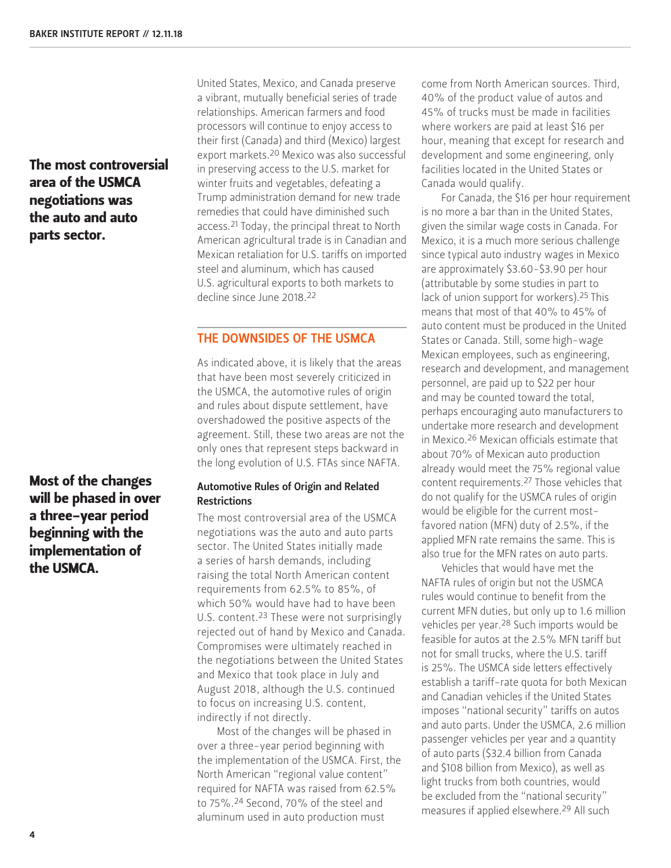# The most controversial area of the USMCA negotiations was the auto and auto parts sector.

Most of the changes will be phased in over a three-year period beginning with the implementation of the USMCA.

United States, Mexico, and Canada preserve a vibrant, mutually beneficial series of trade relationships. American farmers and food processors will continue to enjoy access to their first (Canada) and third (Mexico) largest export markets.20 Mexico was also successful in preserving access to the U.S. market for winter fruits and vegetables, defeating a Trump administration demand for new trade remedies that could have diminished such access.21 Today, the principal threat to North American agricultural trade is in Canadian and Mexican retaliation for U.S. tariffs on imported steel and aluminum, which has caused U.S. agricultural exports to both markets to decline since June 2018.22

#### THE DOWNSIDES OF THE USMCA

As indicated above, it is likely that the areas that have been most severely criticized in the USMCA, the automotive rules of origin and rules about dispute settlement, have overshadowed the positive aspects of the agreement. Still, these two areas are not the only ones that represent steps backward in the long evolution of U.S. FTAs since NAFTA.

#### Automotive Rules of Origin and Related Restrictions

The most controversial area of the USMCA negotiations was the auto and auto parts sector. The United States initially made a series of harsh demands, including raising the total North American content requirements from 62.5% to 85%, of which 50% would have had to have been U.S. content.<sup>23</sup> These were not surprisingly rejected out of hand by Mexico and Canada. Compromises were ultimately reached in the negotiations between the United States and Mexico that took place in July and August 2018, although the U.S. continued to focus on increasing U.S. content, indirectly if not directly.

Most of the changes will be phased in over a three-year period beginning with the implementation of the USMCA. First, the North American "regional value content" required for NAFTA was raised from 62.5% to 75%.24 Second, 70% of the steel and aluminum used in auto production must

come from North American sources. Third, 40% of the product value of autos and 45% of trucks must be made in facilities where workers are paid at least \$16 per hour, meaning that except for research and development and some engineering, only facilities located in the United States or Canada would qualify.

For Canada, the \$16 per hour requirement is no more a bar than in the United States, given the similar wage costs in Canada. For Mexico, it is a much more serious challenge since typical auto industry wages in Mexico are approximately \$3.60-\$3.90 per hour (attributable by some studies in part to lack of union support for workers).<sup>25</sup> This means that most of that 40% to 45% of auto content must be produced in the United States or Canada. Still, some high-wage Mexican employees, such as engineering, research and development, and management personnel, are paid up to \$22 per hour and may be counted toward the total, perhaps encouraging auto manufacturers to undertake more research and development in Mexico.26 Mexican officials estimate that about 70% of Mexican auto production already would meet the 75% regional value content requirements.27 Those vehicles that do not qualify for the USMCA rules of origin would be eligible for the current mostfavored nation (MFN) duty of 2.5%, if the applied MFN rate remains the same. This is also true for the MFN rates on auto parts.

Vehicles that would have met the NAFTA rules of origin but not the USMCA rules would continue to benefit from the current MFN duties, but only up to 1.6 million vehicles per year.28 Such imports would be feasible for autos at the 2.5% MFN tariff but not for small trucks, where the U.S. tariff is 25%. The USMCA side letters effectively establish a tariff-rate quota for both Mexican and Canadian vehicles if the United States imposes "national security" tariffs on autos and auto parts. Under the USMCA, 2.6 million passenger vehicles per year and a quantity of auto parts (\$32.4 billion from Canada and \$108 billion from Mexico), as well as light trucks from both countries, would be excluded from the "national security" measures if applied elsewhere.29 All such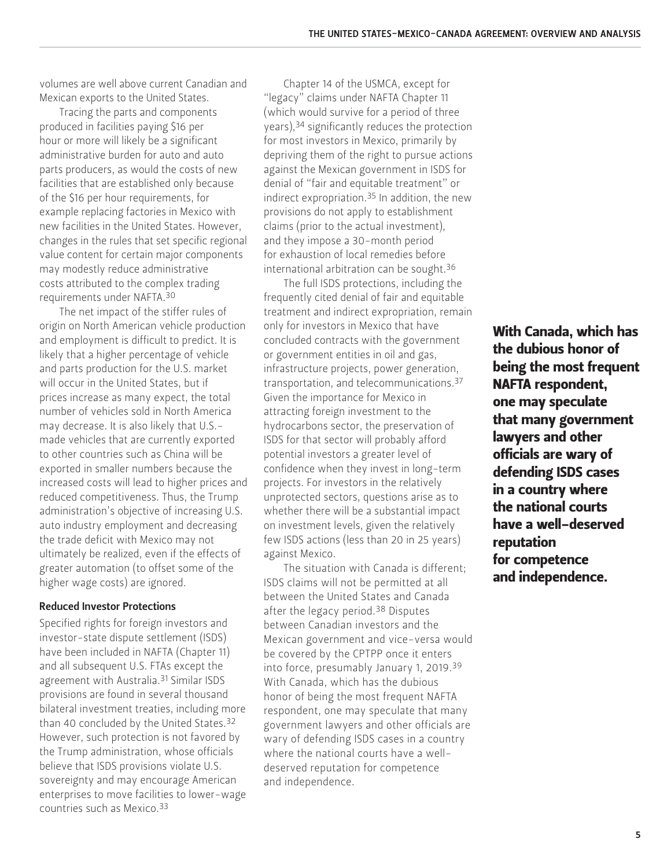volumes are well above current Canadian and Mexican exports to the United States.

Tracing the parts and components produced in facilities paying \$16 per hour or more will likely be a significant administrative burden for auto and auto parts producers, as would the costs of new facilities that are established only because of the \$16 per hour requirements, for example replacing factories in Mexico with new facilities in the United States. However, changes in the rules that set specific regional value content for certain major components may modestly reduce administrative costs attributed to the complex trading requirements under NAFTA.30

The net impact of the stiffer rules of origin on North American vehicle production and employment is difficult to predict. It is likely that a higher percentage of vehicle and parts production for the U.S. market will occur in the United States, but if prices increase as many expect, the total number of vehicles sold in North America may decrease. It is also likely that U.S. made vehicles that are currently exported to other countries such as China will be exported in smaller numbers because the increased costs will lead to higher prices and reduced competitiveness. Thus, the Trump administration's objective of increasing U.S. auto industry employment and decreasing the trade deficit with Mexico may not ultimately be realized, even if the effects of greater automation (to offset some of the higher wage costs) are ignored.

#### Reduced Investor Protections

Specified rights for foreign investors and investor-state dispute settlement (ISDS) have been included in NAFTA (Chapter 11) and all subsequent U.S. FTAs except the agreement with Australia.<sup>31</sup> Similar ISDS provisions are found in several thousand bilateral investment treaties, including more than 40 concluded by the United States.32 However, such protection is not favored by the Trump administration, whose officials believe that ISDS provisions violate U.S. sovereignty and may encourage American enterprises to move facilities to lower-wage countries such as Mexico.33

Chapter 14 of the USMCA, except for "legacy" claims under NAFTA Chapter 11 (which would survive for a period of three years),34 significantly reduces the protection for most investors in Mexico, primarily by depriving them of the right to pursue actions against the Mexican government in ISDS for denial of "fair and equitable treatment" or indirect expropriation.35 In addition, the new provisions do not apply to establishment claims (prior to the actual investment), and they impose a 30-month period for exhaustion of local remedies before international arbitration can be sought.36

The full ISDS protections, including the frequently cited denial of fair and equitable treatment and indirect expropriation, remain only for investors in Mexico that have concluded contracts with the government or government entities in oil and gas, infrastructure projects, power generation, transportation, and telecommunications.37 Given the importance for Mexico in attracting foreign investment to the hydrocarbons sector, the preservation of ISDS for that sector will probably afford potential investors a greater level of confidence when they invest in long-term projects. For investors in the relatively unprotected sectors, questions arise as to whether there will be a substantial impact on investment levels, given the relatively few ISDS actions (less than 20 in 25 years) against Mexico.

The situation with Canada is different; ISDS claims will not be permitted at all between the United States and Canada after the legacy period.38 Disputes between Canadian investors and the Mexican government and vice-versa would be covered by the CPTPP once it enters into force, presumably January 1, 2019.39 With Canada, which has the dubious honor of being the most frequent NAFTA respondent, one may speculate that many government lawyers and other officials are wary of defending ISDS cases in a country where the national courts have a welldeserved reputation for competence and independence.

With Canada, which has the dubious honor of being the most frequent NAFTA respondent, one may speculate that many government lawyers and other officials are wary of defending ISDS cases in a country where the national courts have a well-deserved reputation for competence and independence.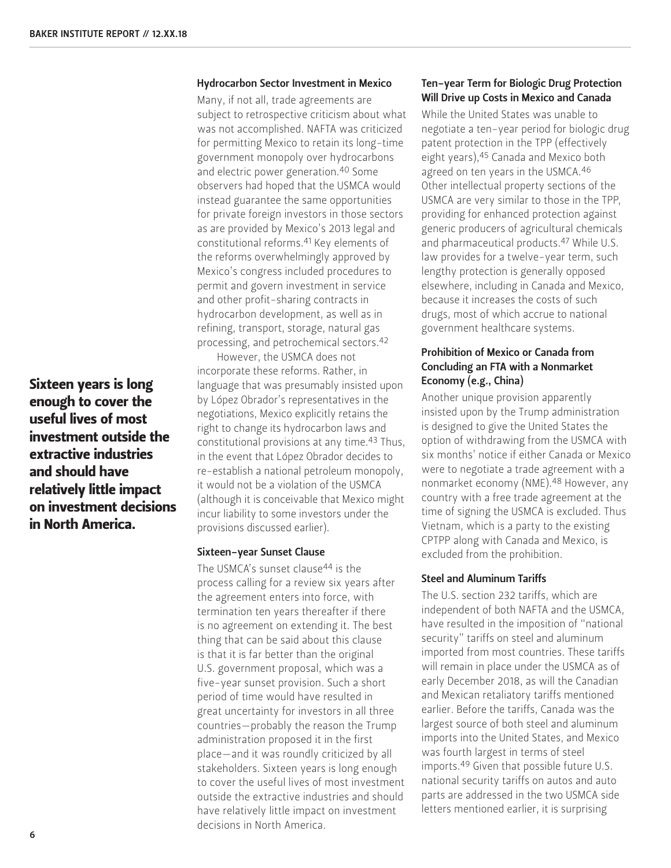Sixteen years is long enough to cover the useful lives of most investment outside the extractive industries and should have relatively little impact on investment decisions in North America.

#### Hydrocarbon Sector Investment in Mexico

Many, if not all, trade agreements are subject to retrospective criticism about what was not accomplished. NAFTA was criticized for permitting Mexico to retain its long-time government monopoly over hydrocarbons and electric power generation.40 Some observers had hoped that the USMCA would instead guarantee the same opportunities for private foreign investors in those sectors as are provided by Mexico's 2013 legal and constitutional reforms.41 Key elements of the reforms overwhelmingly approved by Mexico's congress included procedures to permit and govern investment in service and other profit-sharing contracts in hydrocarbon development, as well as in refining, transport, storage, natural gas processing, and petrochemical sectors.42

However, the USMCA does not incorporate these reforms. Rather, in language that was presumably insisted upon by López Obrador's representatives in the negotiations, Mexico explicitly retains the right to change its hydrocarbon laws and constitutional provisions at any time.43 Thus, in the event that López Obrador decides to re-establish a national petroleum monopoly, it would not be a violation of the USMCA (although it is conceivable that Mexico might incur liability to some investors under the provisions discussed earlier).

#### Sixteen-year Sunset Clause

The USMCA's sunset clause<sup>44</sup> is the process calling for a review six years after the agreement enters into force, with termination ten years thereafter if there is no agreement on extending it. The best thing that can be said about this clause is that it is far better than the original U.S. government proposal, which was a five-year sunset provision. Such a short period of time would have resulted in great uncertainty for investors in all three countries—probably the reason the Trump administration proposed it in the first place—and it was roundly criticized by all stakeholders. Sixteen years is long enough to cover the useful lives of most investment outside the extractive industries and should have relatively little impact on investment decisions in North America.

#### Ten-year Term for Biologic Drug Protection Will Drive up Costs in Mexico and Canada

While the United States was unable to negotiate a ten-year period for biologic drug patent protection in the TPP (effectively eight years), 45 Canada and Mexico both agreed on ten years in the USMCA.46 Other intellectual property sections of the USMCA are very similar to those in the TPP, providing for enhanced protection against generic producers of agricultural chemicals and pharmaceutical products.47 While U.S. law provides for a twelve-year term, such lengthy protection is generally opposed elsewhere, including in Canada and Mexico, because it increases the costs of such drugs, most of which accrue to national government healthcare systems.

## Prohibition of Mexico or Canada from Concluding an FTA with a Nonmarket Economy (e.g., China)

Another unique provision apparently insisted upon by the Trump administration is designed to give the United States the option of withdrawing from the USMCA with six months' notice if either Canada or Mexico were to negotiate a trade agreement with a nonmarket economy (NME).48 However, any country with a free trade agreement at the time of signing the USMCA is excluded. Thus Vietnam, which is a party to the existing CPTPP along with Canada and Mexico, is excluded from the prohibition.

#### Steel and Aluminum Tariffs

The U.S. section 232 tariffs, which are independent of both NAFTA and the USMCA, have resulted in the imposition of "national security" tariffs on steel and aluminum imported from most countries. These tariffs will remain in place under the USMCA as of early December 2018, as will the Canadian and Mexican retaliatory tariffs mentioned earlier. Before the tariffs, Canada was the largest source of both steel and aluminum imports into the United States, and Mexico was fourth largest in terms of steel imports.49 Given that possible future U.S. national security tariffs on autos and auto parts are addressed in the two USMCA side letters mentioned earlier, it is surprising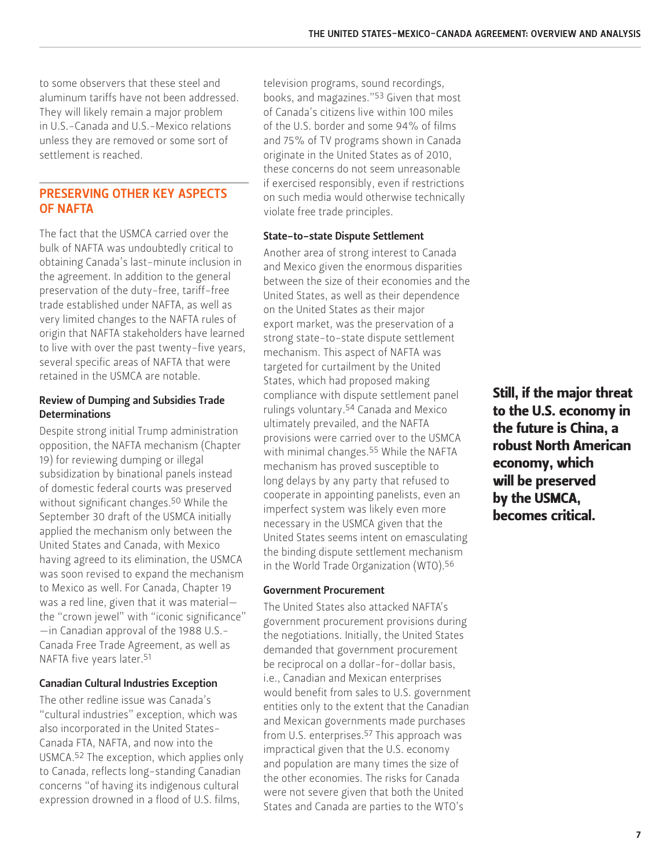to some observers that these steel and aluminum tariffs have not been addressed. They will likely remain a major problem in U.S.-Canada and U.S.-Mexico relations unless they are removed or some sort of settlement is reached.

# PRESERVING OTHER KEY ASPECTS OF NAFTA

The fact that the USMCA carried over the bulk of NAFTA was undoubtedly critical to obtaining Canada's last-minute inclusion in the agreement. In addition to the general preservation of the duty-free, tariff-free trade established under NAFTA, as well as very limited changes to the NAFTA rules of origin that NAFTA stakeholders have learned to live with over the past twenty-five years, several specific areas of NAFTA that were retained in the USMCA are notable.

#### Review of Dumping and Subsidies Trade **Determinations**

Despite strong initial Trump administration opposition, the NAFTA mechanism (Chapter 19) for reviewing dumping or illegal subsidization by binational panels instead of domestic federal courts was preserved without significant changes.50 While the September 30 draft of the USMCA initially applied the mechanism only between the United States and Canada, with Mexico having agreed to its elimination, the USMCA was soon revised to expand the mechanism to Mexico as well. For Canada, Chapter 19 was a red line, given that it was material the "crown jewel" with "iconic significance" —in Canadian approval of the 1988 U.S.- Canada Free Trade Agreement, as well as NAFTA five years later.51

#### Canadian Cultural Industries Exception

The other redline issue was Canada's "cultural industries" exception, which was also incorporated in the United States-Canada FTA, NAFTA, and now into the USMCA.52 The exception, which applies only to Canada, reflects long-standing Canadian concerns "of having its indigenous cultural expression drowned in a flood of U.S. films,

television programs, sound recordings, books, and magazines."53 Given that most of Canada's citizens live within 100 miles of the U.S. border and some 94% of films and 75% of TV programs shown in Canada originate in the United States as of 2010, these concerns do not seem unreasonable if exercised responsibly, even if restrictions on such media would otherwise technically violate free trade principles.

#### State-to-state Dispute Settlement

Another area of strong interest to Canada and Mexico given the enormous disparities between the size of their economies and the United States, as well as their dependence on the United States as their major export market, was the preservation of a strong state-to-state dispute settlement mechanism. This aspect of NAFTA was targeted for curtailment by the United States, which had proposed making compliance with dispute settlement panel rulings voluntary.54 Canada and Mexico ultimately prevailed, and the NAFTA provisions were carried over to the USMCA with minimal changes.55 While the NAFTA mechanism has proved susceptible to long delays by any party that refused to cooperate in appointing panelists, even an imperfect system was likely even more necessary in the USMCA given that the United States seems intent on emasculating the binding dispute settlement mechanism in the World Trade Organization (WTO).56

# Government Procurement

The United States also attacked NAFTA's government procurement provisions during the negotiations. Initially, the United States demanded that government procurement be reciprocal on a dollar-for-dollar basis, i.e., Canadian and Mexican enterprises would benefit from sales to U.S. government entities only to the extent that the Canadian and Mexican governments made purchases from U.S. enterprises.<sup>57</sup> This approach was impractical given that the U.S. economy and population are many times the size of the other economies. The risks for Canada were not severe given that both the United States and Canada are parties to the WTO's

Still, if the major threat to the U.S. economy in the future is China, a robust North American economy, which will be preserved by the USMCA, becomes critical.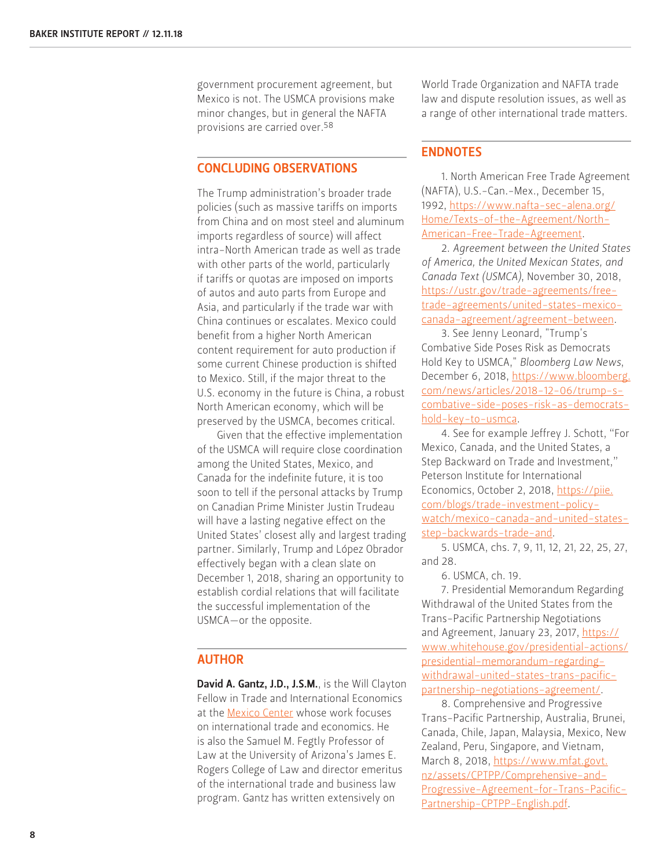government procurement agreement, but Mexico is not. The USMCA provisions make minor changes, but in general the NAFTA provisions are carried over.58

### CONCLUDING OBSERVATIONS

The Trump administration's broader trade policies (such as massive tariffs on imports from China and on most steel and aluminum imports regardless of source) will affect intra-North American trade as well as trade with other parts of the world, particularly if tariffs or quotas are imposed on imports of autos and auto parts from Europe and Asia, and particularly if the trade war with China continues or escalates. Mexico could benefit from a higher North American content requirement for auto production if some current Chinese production is shifted to Mexico. Still, if the major threat to the U.S. economy in the future is China, a robust North American economy, which will be preserved by the USMCA, becomes critical.

Given that the effective implementation of the USMCA will require close coordination among the United States, Mexico, and Canada for the indefinite future, it is too soon to tell if the personal attacks by Trump on Canadian Prime Minister Justin Trudeau will have a lasting negative effect on the United States' closest ally and largest trading partner. Similarly, Trump and López Obrador effectively began with a clean slate on December 1, 2018, sharing an opportunity to establish cordial relations that will facilitate the successful implementation of the USMCA—or the opposite.

#### AUTHOR

[David A. Gantz, J.D., J.S.M.](https://www.bakerinstitute.org/experts/david-a-gantz/), is the Will Clayton Fellow in Trade and International Economics at the [Mexico Center](https://www.bakerinstitute.org/mexico-center/) whose work focuses on international trade and economics. He is also the Samuel M. Fegtly Professor of Law at the University of Arizona's James E. Rogers College of Law and director emeritus of the international trade and business law program. Gantz has written extensively on

World Trade Organization and NAFTA trade law and dispute resolution issues, as well as a range of other international trade matters.

#### ENDNOTES

1. North American Free Trade Agreement (NAFTA), U.S.-Can.-Mex., December 15, 1992, [https://www.nafta-sec-alena.org/](https://www.nafta-sec-alena.org/Home/Texts-of-the-Agreement/North-American-Free-Trade-Agreement) [Home/Texts-of-the-Agreement/North-](https://www.nafta-sec-alena.org/Home/Texts-of-the-Agreement/North-American-Free-Trade-Agreement)[American-Free-Trade-Agreement](https://www.nafta-sec-alena.org/Home/Texts-of-the-Agreement/North-American-Free-Trade-Agreement).

2. *Agreement between the United States of America, the United Mexican States, and Canada Text (USMCA)*, November 30, 2018, [https://ustr.gov/trade-agreements/free](https://ustr.gov/trade-agreements/free-trade-agreements/united-states-mexico-canada-agreement/agreement-between)[trade-agreements/united-states-mexico](https://ustr.gov/trade-agreements/free-trade-agreements/united-states-mexico-canada-agreement/agreement-between)[canada-agreement/agreement-between](https://ustr.gov/trade-agreements/free-trade-agreements/united-states-mexico-canada-agreement/agreement-between).

3. See Jenny Leonard, "Trump's Combative Side Poses Risk as Democrats Hold Key to USMCA," *Bloomberg Law News*, December 6, 2018, [https://www.bloomberg.](https://www.bloomberg.com/news/articles/2018-12-06/trump-s-combative-side-poses-risk-as-democrats-hold-key-to-usmca) [com/news/articles/2018-12-06/trump-s](https://www.bloomberg.com/news/articles/2018-12-06/trump-s-combative-side-poses-risk-as-democrats-hold-key-to-usmca)[combative-side-poses-risk-as-democrats](https://www.bloomberg.com/news/articles/2018-12-06/trump-s-combative-side-poses-risk-as-democrats-hold-key-to-usmca)[hold-key-to-usmca.](https://www.bloomberg.com/news/articles/2018-12-06/trump-s-combative-side-poses-risk-as-democrats-hold-key-to-usmca)

4. See for example Jeffrey J. Schott, "For Mexico, Canada, and the United States, a Step Backward on Trade and Investment," Peterson Institute for International Economics, October 2, 2018, [https://piie.](https://piie.com/blogs/trade-investment-policy-watch/mexico-canada-and-united-states-step-backwards-trade-and) [com/blogs/trade-investment-policy](https://piie.com/blogs/trade-investment-policy-watch/mexico-canada-and-united-states-step-backwards-trade-and)[watch/mexico-canada-and-united-states](https://piie.com/blogs/trade-investment-policy-watch/mexico-canada-and-united-states-step-backwards-trade-and)[step-backwards-trade-and](https://piie.com/blogs/trade-investment-policy-watch/mexico-canada-and-united-states-step-backwards-trade-and).

5. USMCA, chs. 7, 9, 11, 12, 21, 22, 25, 27, and 28.

6. USMCA, ch. 19.

7. Presidential Memorandum Regarding Withdrawal of the United States from the Trans-Pacific Partnership Negotiations and Agreement, January 23, 2017, [https://](https://www.whitehouse.gov/presidential-actions/presidential-memorandum-regarding-withdrawal-united-states-trans-pacific-partnership-negotiations-agreement/) [www.whitehouse.gov/presidential-actions/](https://www.whitehouse.gov/presidential-actions/presidential-memorandum-regarding-withdrawal-united-states-trans-pacific-partnership-negotiations-agreement/) [presidential-memorandum-regarding](https://www.whitehouse.gov/presidential-actions/presidential-memorandum-regarding-withdrawal-united-states-trans-pacific-partnership-negotiations-agreement/)[withdrawal-united-states-trans-pacific](https://www.whitehouse.gov/presidential-actions/presidential-memorandum-regarding-withdrawal-united-states-trans-pacific-partnership-negotiations-agreement/)[partnership-negotiations-agreement/](https://www.whitehouse.gov/presidential-actions/presidential-memorandum-regarding-withdrawal-united-states-trans-pacific-partnership-negotiations-agreement/).

8. Comprehensive and Progressive Trans-Pacific Partnership, Australia, Brunei, Canada, Chile, Japan, Malaysia, Mexico, New Zealand, Peru, Singapore, and Vietnam, March 8, 2018, [https://www.mfat.govt.](https://www.mfat.govt.nz/assets/CPTPP/Comprehensive-and-Progressive-Agreement-for-Trans-Pacific-Partnership-CPTPP-English.pdf) [nz/assets/CPTPP/Comprehensive-and-](https://www.mfat.govt.nz/assets/CPTPP/Comprehensive-and-Progressive-Agreement-for-Trans-Pacific-Partnership-CPTPP-English.pdf)[Progressive-Agreement-for-Trans-Pacific-](https://www.mfat.govt.nz/assets/CPTPP/Comprehensive-and-Progressive-Agreement-for-Trans-Pacific-Partnership-CPTPP-English.pdf)[Partnership-CPTPP-English.pdf](https://www.mfat.govt.nz/assets/CPTPP/Comprehensive-and-Progressive-Agreement-for-Trans-Pacific-Partnership-CPTPP-English.pdf).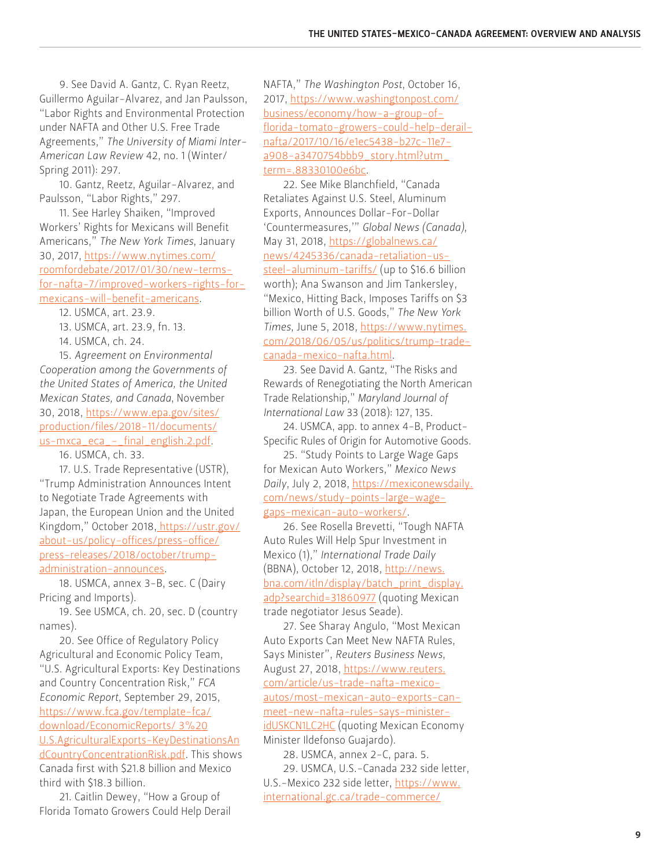9. See David A. Gantz, C. Ryan Reetz, Guillermo Aguilar-Alvarez, and Jan Paulsson, "Labor Rights and Environmental Protection under NAFTA and Other U.S. Free Trade Agreements," *The University of Miami Inter-American Law Review* 42, no. 1 (Winter/ Spring 2011): 297.

10. Gantz, Reetz, Aguilar-Alvarez, and Paulsson, "Labor Rights," 297.

11. See Harley Shaiken, "Improved Workers' Rights for Mexicans will Benefit Americans," *The New York Times*, January 30, 2017, [https://www.nytimes.com/](https://www.nytimes.com/roomfordebate/2017/01/30/new-terms-for-nafta-7/improved-workers-rights-for-mexicans-will-benefit-americans) [roomfordebate/2017/01/30/new-terms](https://www.nytimes.com/roomfordebate/2017/01/30/new-terms-for-nafta-7/improved-workers-rights-for-mexicans-will-benefit-americans)[for-nafta-7/improved-workers-rights-for](https://www.nytimes.com/roomfordebate/2017/01/30/new-terms-for-nafta-7/improved-workers-rights-for-mexicans-will-benefit-americans)[mexicans-will-benefit-americans.](https://www.nytimes.com/roomfordebate/2017/01/30/new-terms-for-nafta-7/improved-workers-rights-for-mexicans-will-benefit-americans)

12. USMCA, art. 23.9.

13. USMCA, art. 23.9, fn. 13.

14. USMCA, ch. 24.

15. *Agreement on Environmental Cooperation among the Governments of the United States of America, the United Mexican States, and Canada*, November 30, 2018, [https://www.epa.gov/sites/](https://www.epa.gov/sites/production/files/2018-11/documents/us-mxca_eca_-_final_english.2.pdf) [production/files/2018-11/documents/](https://www.epa.gov/sites/production/files/2018-11/documents/us-mxca_eca_-_final_english.2.pdf) [us-mxca\\_eca\\_-\\_final\\_english.2.pdf](https://www.epa.gov/sites/production/files/2018-11/documents/us-mxca_eca_-_final_english.2.pdf).

16. USMCA, ch. 33.

17. U.S. Trade Representative (USTR), "Trump Administration Announces Intent to Negotiate Trade Agreements with Japan, the European Union and the United Kingdom," October 2018[, https://ustr.gov/]( https://ustr.gov/about-us/policy-offices/press-office/press-releases/2018/october/trump-administration-announces) [about-us/policy-offices/press-office/]( https://ustr.gov/about-us/policy-offices/press-office/press-releases/2018/october/trump-administration-announces) [press-releases/2018/october/trump]( https://ustr.gov/about-us/policy-offices/press-office/press-releases/2018/october/trump-administration-announces)[administration-announces.]( https://ustr.gov/about-us/policy-offices/press-office/press-releases/2018/october/trump-administration-announces)

18. USMCA, annex 3-B, sec. C (Dairy Pricing and Imports).

19. See USMCA, ch. 20, sec. D (country names).

20. See Office of Regulatory Policy Agricultural and Economic Policy Team, "U.S. Agricultural Exports: Key Destinations and Country Concentration Risk," *FCA Economic Report*, September 29, 2015, [https://www.fca.gov/template-fca/](https://www.fca.gov/template-fca/download/EconomicReports/ 3%20U.S.AgriculturalExports-KeyDestinationsAndCountryConcentrationRisk.pdf) [download/EconomicReports/ 3%20](https://www.fca.gov/template-fca/download/EconomicReports/ 3%20U.S.AgriculturalExports-KeyDestinationsAndCountryConcentrationRisk.pdf) [U.S.AgriculturalExports-KeyDestinationsAn](https://www.fca.gov/template-fca/download/EconomicReports/ 3%20U.S.AgriculturalExports-KeyDestinationsAndCountryConcentrationRisk.pdf) [dCountryConcentrationRisk.pdf](https://www.fca.gov/template-fca/download/EconomicReports/ 3%20U.S.AgriculturalExports-KeyDestinationsAndCountryConcentrationRisk.pdf). This shows Canada first with \$21.8 billion and Mexico third with \$18.3 billion.

21. Caitlin Dewey, "How a Group of Florida Tomato Growers Could Help Derail NAFTA," *The Washington Post*, October 16, 2017, [https://www.washingtonpost.com/](https://www.washingtonpost.com/business/economy/how-a-group-of-florida-tomato-growers-could-help-derail-nafta/2017/10/16/e1ec5438-b27c-11e7-a908-a3470754bbb9_story.html?utm_term=.88330100e6bc) [business/economy/how-a-group-of](https://www.washingtonpost.com/business/economy/how-a-group-of-florida-tomato-growers-could-help-derail-nafta/2017/10/16/e1ec5438-b27c-11e7-a908-a3470754bbb9_story.html?utm_term=.88330100e6bc)[florida-tomato-growers-could-help-derail](https://www.washingtonpost.com/business/economy/how-a-group-of-florida-tomato-growers-could-help-derail-nafta/2017/10/16/e1ec5438-b27c-11e7-a908-a3470754bbb9_story.html?utm_term=.88330100e6bc)[nafta/2017/10/16/e1ec5438-b27c-11e7](https://www.washingtonpost.com/business/economy/how-a-group-of-florida-tomato-growers-could-help-derail-nafta/2017/10/16/e1ec5438-b27c-11e7-a908-a3470754bbb9_story.html?utm_term=.88330100e6bc) a908-a3470754bbb9\_story.html?utm [term=.88330100e6bc](https://www.washingtonpost.com/business/economy/how-a-group-of-florida-tomato-growers-could-help-derail-nafta/2017/10/16/e1ec5438-b27c-11e7-a908-a3470754bbb9_story.html?utm_term=.88330100e6bc).

22. See Mike Blanchfield, "Canada Retaliates Against U.S. Steel, Aluminum Exports, Announces Dollar-For-Dollar 'Countermeasures,'" *Global News (Canada)*, May 31, 2018, [https://globalnews.ca/](https://globalnews.ca/news/4245336/canada-retaliation-us-steel-aluminum-tariffs/) [news/4245336/canada-retaliation-us](https://globalnews.ca/news/4245336/canada-retaliation-us-steel-aluminum-tariffs/)[steel-aluminum-tariffs/](https://globalnews.ca/news/4245336/canada-retaliation-us-steel-aluminum-tariffs/) (up to \$16.6 billion worth); Ana Swanson and Jim Tankersley, "Mexico, Hitting Back, Imposes Tariffs on \$3 billion Worth of U.S. Goods," *The New York Times*, June 5, 2018, [https://www.nytimes.](https://www.nytimes.com/2018/06/05/us/politics/trump-trade-canada-mexico-nafta.html) [com/2018/06/05/us/politics/trump-trade](https://www.nytimes.com/2018/06/05/us/politics/trump-trade-canada-mexico-nafta.html)[canada-mexico-nafta.html.](https://www.nytimes.com/2018/06/05/us/politics/trump-trade-canada-mexico-nafta.html)

23. See David A. Gantz, "The Risks and Rewards of Renegotiating the North American Trade Relationship," *Maryland Journal of International Law* 33 (2018): 127, 135.

24. USMCA, app. to annex 4-B, Product-Specific Rules of Origin for Automotive Goods.

25. "Study Points to Large Wage Gaps for Mexican Auto Workers," *Mexico News Daily*, July 2, 2018, [https://mexiconewsdaily.](https://mexiconewsdaily.com/news/study-points-large-wage-gaps-mexican-auto-workers/) [com/news/study-points-large-wage](https://mexiconewsdaily.com/news/study-points-large-wage-gaps-mexican-auto-workers/)[gaps-mexican-auto-workers/](https://mexiconewsdaily.com/news/study-points-large-wage-gaps-mexican-auto-workers/).

26. See Rosella Brevetti, "Tough NAFTA Auto Rules Will Help Spur Investment in Mexico (1)," *International Trade Daily* (BBNA), October 12, 2018, [http://news.](http://news.bna.com/itln/display/batch_print_display.adp?searchid=31860977) [bna.com/itln/display/batch\\_print\\_display.](http://news.bna.com/itln/display/batch_print_display.adp?searchid=31860977) [adp?searchid=31860977](http://news.bna.com/itln/display/batch_print_display.adp?searchid=31860977) (quoting Mexican trade negotiator Jesus Seade).

27. See Sharay Angulo, "Most Mexican Auto Exports Can Meet New NAFTA Rules, Says Minister", *Reuters Business News*, August 27, 2018, [https://www.reuters.](https://www.reuters.com/article/us-trade-nafta-mexico-autos/most-mexican-auto-exports-can-meet-new-nafta-rules-says-minister-idUSKCN1LC2HC) [com/article/us-trade-nafta-mexico](https://www.reuters.com/article/us-trade-nafta-mexico-autos/most-mexican-auto-exports-can-meet-new-nafta-rules-says-minister-idUSKCN1LC2HC)[autos/most-mexican-auto-exports-can](https://www.reuters.com/article/us-trade-nafta-mexico-autos/most-mexican-auto-exports-can-meet-new-nafta-rules-says-minister-idUSKCN1LC2HC)[meet-new-nafta-rules-says-minister](https://www.reuters.com/article/us-trade-nafta-mexico-autos/most-mexican-auto-exports-can-meet-new-nafta-rules-says-minister-idUSKCN1LC2HC)[idUSKCN1LC2HC](https://www.reuters.com/article/us-trade-nafta-mexico-autos/most-mexican-auto-exports-can-meet-new-nafta-rules-says-minister-idUSKCN1LC2HC) (quoting Mexican Economy Minister Ildefonso Guajardo).

28. USMCA, annex 2-C, para. 5.

29. USMCA, U.S.-Canada 232 side letter, U.S.-Mexico 232 side letter, [https://www.](https://www.international.gc.ca/trade-commerce/assets/pdfs/agreements-accords/cusma-aceum/letter-232autos.pdf) [international.gc.ca/trade-commerce/](https://www.international.gc.ca/trade-commerce/assets/pdfs/agreements-accords/cusma-aceum/letter-232autos.pdf)